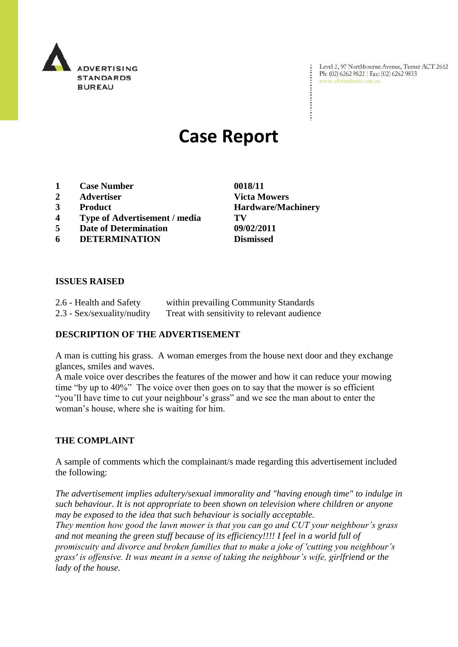

Level 2, 97 Northbourne Avenue, Turner ACT 2612 Level 2, 97 Northbourne Avenue, Turne<br>Ph: (02) 6262 9822 | Fax: (02) 6262 9833 www.adstandards.com.au

 $\ddot{\cdot}$ 

# **Case Report**

- **1 Case Number 0018/11**
- **2 Advertiser Victa Mowers**
- **3 Product Hardware/Machinery**
- **4 Type of Advertisement / media TV**
- **5 Date of Determination 09/02/2011**
- **6 DETERMINATION Dismissed**

**ISSUES RAISED**

| 2.6 - Health and Safety    | within prevailing Community Standards       |
|----------------------------|---------------------------------------------|
| 2.3 - Sex/sexuality/nudity | Treat with sensitivity to relevant audience |

#### **DESCRIPTION OF THE ADVERTISEMENT**

A man is cutting his grass. A woman emerges from the house next door and they exchange glances, smiles and waves.

A male voice over describes the features of the mower and how it can reduce your mowing time "by up to 40%" The voice over then goes on to say that the mower is so efficient "you"ll have time to cut your neighbour"s grass" and we see the man about to enter the woman"s house, where she is waiting for him.

#### **THE COMPLAINT**

A sample of comments which the complainant/s made regarding this advertisement included the following:

*The advertisement implies adultery/sexual immorality and "having enough time" to indulge in such behaviour. It is not appropriate to been shown on television where children or anyone may be exposed to the idea that such behaviour is socially acceptable. They mention how good the lawn mower is that you can go and CUT your neighbour's grass and not meaning the green stuff because of its efficiency!!!! I feel in a world full of promiscuity and divorce and broken families that to make a joke of 'cutting you neighbour's grass' is offensive. It was meant in a sense of taking the neighbour's wife, girlfriend or the lady of the house.*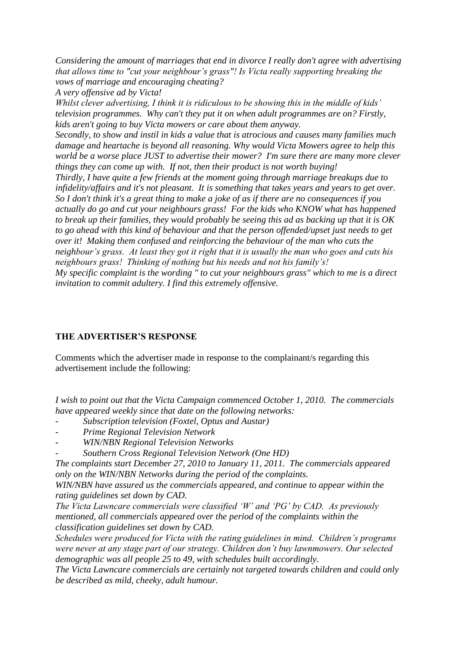*Considering the amount of marriages that end in divorce I really don't agree with advertising that allows time to "cut your neighbour's grass"! Is Victa really supporting breaking the vows of marriage and encouraging cheating?*

*A very offensive ad by Victa!*

*Whilst clever advertising, I think it is ridiculous to be showing this in the middle of kids' television programmes. Why can't they put it on when adult programmes are on? Firstly, kids aren't going to buy Victa mowers or care about them anyway.* 

*Secondly, to show and instil in kids a value that is atrocious and causes many families much damage and heartache is beyond all reasoning. Why would Victa Mowers agree to help this world be a worse place JUST to advertise their mower? I'm sure there are many more clever things they can come up with. If not, then their product is not worth buying!*

*Thirdly, I have quite a few friends at the moment going through marriage breakups due to infidelity/affairs and it's not pleasant. It is something that takes years and years to get over. So I don't think it's a great thing to make a joke of as if there are no consequences if you actually do go and cut your neighbours grass! For the kids who KNOW what has happened to break up their families, they would probably be seeing this ad as backing up that it is OK to go ahead with this kind of behaviour and that the person offended/upset just needs to get over it! Making them confused and reinforcing the behaviour of the man who cuts the neighbour's grass. At least they got it right that it is usually the man who goes and cuts his neighbours grass! Thinking of nothing but his needs and not his family's!*

*My specific complaint is the wording " to cut your neighbours grass" which to me is a direct invitation to commit adultery. I find this extremely offensive.*

## **THE ADVERTISER'S RESPONSE**

Comments which the advertiser made in response to the complainant/s regarding this advertisement include the following:

*I wish to point out that the Victa Campaign commenced October 1, 2010. The commercials have appeared weekly since that date on the following networks:*

- *- Subscription television (Foxtel, Optus and Austar)*
- *- Prime Regional Television Network*
- *- WIN/NBN Regional Television Networks*
- *- Southern Cross Regional Television Network (One HD)*

*The complaints start December 27, 2010 to January 11, 2011. The commercials appeared only on the WIN/NBN Networks during the period of the complaints.*

*WIN/NBN have assured us the commercials appeared, and continue to appear within the rating guidelines set down by CAD.*

*The Victa Lawncare commercials were classified 'W' and 'PG' by CAD. As previously mentioned, all commercials appeared over the period of the complaints within the classification guidelines set down by CAD.*

*Schedules were produced for Victa with the rating guidelines in mind. Children's programs were never at any stage part of our strategy. Children don't buy lawnmowers. Our selected demographic was all people 25 to 49, with schedules built accordingly.*

*The Victa Lawncare commercials are certainly not targeted towards children and could only be described as mild, cheeky, adult humour.*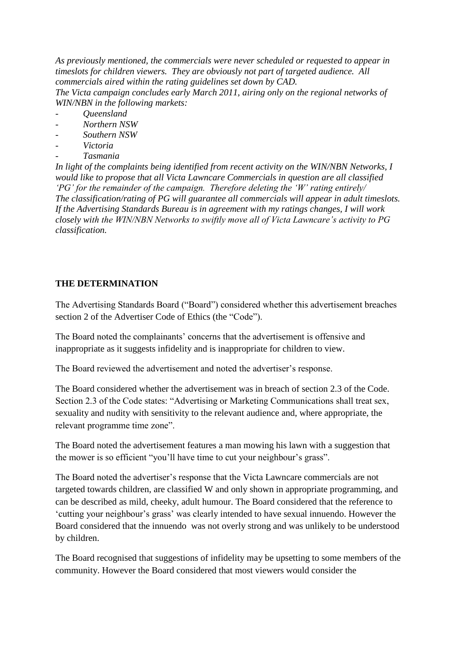*As previously mentioned, the commercials were never scheduled or requested to appear in timeslots for children viewers. They are obviously not part of targeted audience. All commercials aired within the rating guidelines set down by CAD. The Victa campaign concludes early March 2011, airing only on the regional networks of WIN/NBN in the following markets:*

- *- Queensland*
- *- Northern NSW*
- *- Southern NSW*
- *- Victoria*
- *- Tasmania*

*In light of the complaints being identified from recent activity on the WIN/NBN Networks, I would like to propose that all Victa Lawncare Commercials in question are all classified 'PG' for the remainder of the campaign. Therefore deleting the 'W' rating entirely/ The classification/rating of PG will guarantee all commercials will appear in adult timeslots. If the Advertising Standards Bureau is in agreement with my ratings changes, I will work closely with the WIN/NBN Networks to swiftly move all of Victa Lawncare's activity to PG classification.* 

### **THE DETERMINATION**

The Advertising Standards Board ("Board") considered whether this advertisement breaches section 2 of the Advertiser Code of Ethics (the "Code").

The Board noted the complainants' concerns that the advertisement is offensive and inappropriate as it suggests infidelity and is inappropriate for children to view.

The Board reviewed the advertisement and noted the advertiser's response.

The Board considered whether the advertisement was in breach of section 2.3 of the Code. Section 2.3 of the Code states: "Advertising or Marketing Communications shall treat sex, sexuality and nudity with sensitivity to the relevant audience and, where appropriate, the relevant programme time zone".

The Board noted the advertisement features a man mowing his lawn with a suggestion that the mower is so efficient "you"ll have time to cut your neighbour"s grass".

The Board noted the advertiser"s response that the Victa Lawncare commercials are not targeted towards children, are classified W and only shown in appropriate programming, and can be described as mild, cheeky, adult humour. The Board considered that the reference to "cutting your neighbour"s grass" was clearly intended to have sexual innuendo. However the Board considered that the innuendo was not overly strong and was unlikely to be understood by children.

The Board recognised that suggestions of infidelity may be upsetting to some members of the community. However the Board considered that most viewers would consider the